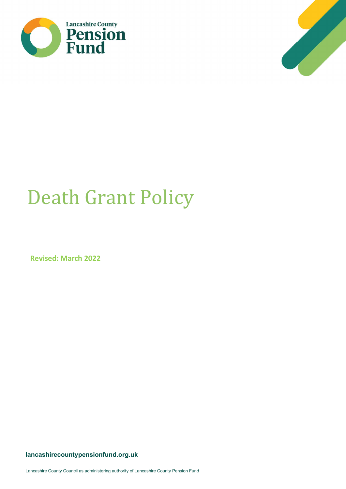



# Death Grant Policy

Revised: March 2022

lancashirecountypensionfund.org.uk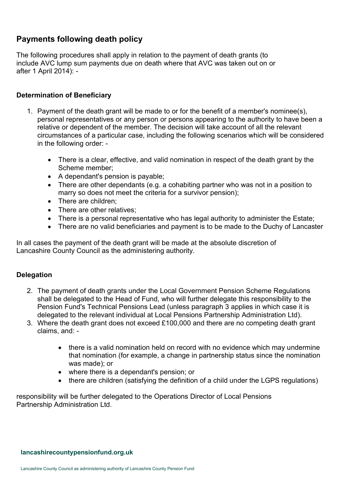## $\overline{G}$ Payments following death policy

The following procedures shall apply in relation to the payment of death grants (to include AVC lump sum payments due on death where that AVC was taken out on or after 1 April 2014): -

## Determination of Beneficiary

- 1. Payment of the death grant will be made to or for the benefit of a member's nominee(s), personal representatives or any person or persons appearing to the authority to have been a relative or dependent of the member. The decision will take account of all the relevant circumstances of a particular case, including the following scenarios which will be considered in the following order: -
	- There is a clear, effective, and valid nomination in respect of the death grant by the Scheme member;
	- A dependant's pension is payable;
	- There are other dependants (e.g. a cohabiting partner who was not in a position to marry so does not meet the criteria for a survivor pension);
	- There are children:
	- There are other relatives:
	- There is a personal representative who has legal authority to administer the Estate;
	- There are no valid beneficiaries and payment is to be made to the Duchy of Lancaster

In all cases the payment of the death grant will be made at the absolute discretion of Lancashire County Council as the administering authority.

## Delegation

- 2. The payment of death grants under the Local Government Pension Scheme Regulations shall be delegated to the Head of Fund, who will further delegate this responsibility to the Pension Fund's Technical Pensions Lead (unless paragraph 3 applies in which case it is delegated to the relevant individual at Local Pensions Partnership Administration Ltd).
- 3. Where the death grant does not exceed £100,000 and there are no competing death grant claims, and: -
	- there is a valid nomination held on record with no evidence which may undermine that nomination (for example, a change in partnership status since the nomination was made); or
	- where there is a dependant's pension; or
	- there are children (satisfying the definition of a child under the LGPS regulations)

responsibility will be further delegated to the Operations Director of Local Pensions Partnership Administration Ltd.

#### lancashirecountypensionfund.org.uk